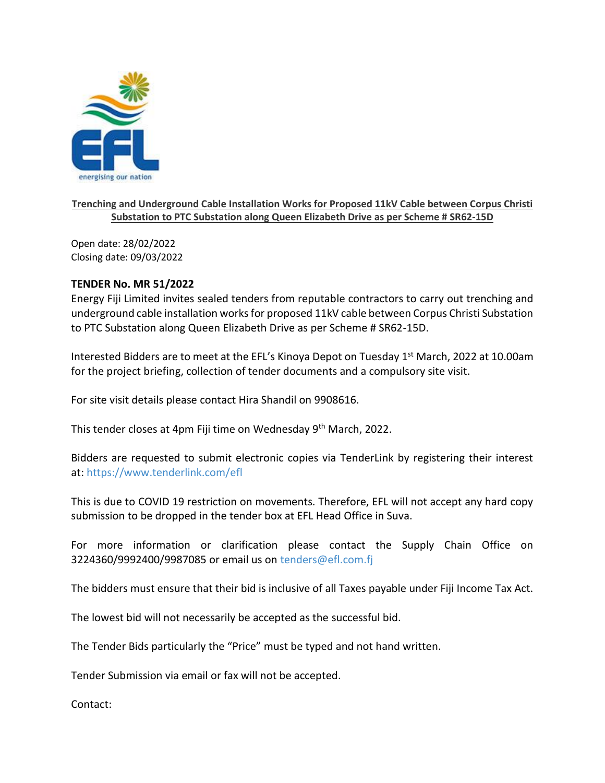

## **Trenching and Underground Cable Installation Works for Proposed 11kV Cable between Corpus Christi Substation to PTC Substation along Queen Elizabeth Drive as per Scheme # SR62-15D**

Open date: 28/02/2022 Closing date: 09/03/2022

## **TENDER No. MR 51/2022**

Energy Fiji Limited invites sealed tenders from reputable contractors to carry out trenching and underground cable installation works for proposed 11kV cable between Corpus Christi Substation to PTC Substation along Queen Elizabeth Drive as per Scheme # SR62-15D.

Interested Bidders are to meet at the EFL's Kinoya Depot on Tuesday  $1<sup>st</sup>$  March, 2022 at 10.00am for the project briefing, collection of tender documents and a compulsory site visit.

For site visit details please contact Hira Shandil on 9908616.

This tender closes at 4pm Fiji time on Wednesday 9<sup>th</sup> March, 2022.

Bidders are requested to submit electronic copies via TenderLink by registering their interest at: <https://www.tenderlink.com/efl>

This is due to COVID 19 restriction on movements. Therefore, EFL will not accept any hard copy submission to be dropped in the tender box at EFL Head Office in Suva.

For more information or clarification please contact the Supply Chain Office on 3224360/9992400/9987085 or email us on [tenders@efl.com.fj](mailto:tenders@efl.com.fj)

The bidders must ensure that their bid is inclusive of all Taxes payable under Fiji Income Tax Act.

The lowest bid will not necessarily be accepted as the successful bid.

The Tender Bids particularly the "Price" must be typed and not hand written.

Tender Submission via email or fax will not be accepted.

Contact: